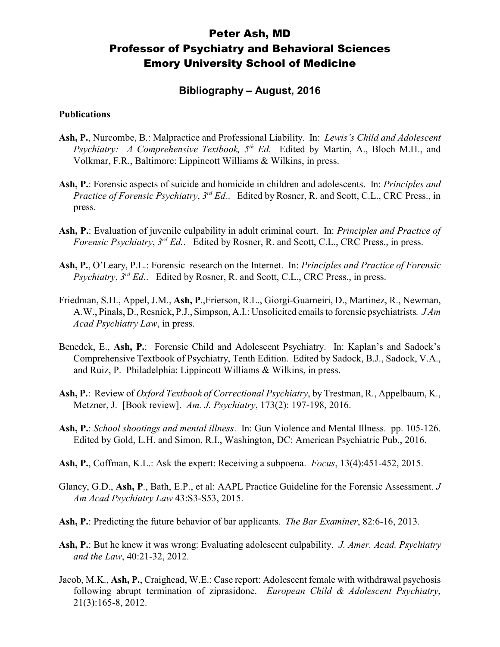# Peter Ash, MD Professor of Psychiatry and Behavioral Sciences Emory University School of Medicine

## **Bibliography – August, 2016**

#### **Publications**

- **Ash, P.**, Nurcombe, B.: Malpractice and Professional Liability. In: *Lewis's Child and Adolescent Psychiatry: A Comprehensive Textbook, 5 th Ed.* Edited by Martin, A., Bloch M.H., and Volkmar, F.R., Baltimore: Lippincott Williams & Wilkins, in press.
- **Ash, P.**: Forensic aspects of suicide and homicide in children and adolescents. In: *Principles and Practice of Forensic Psychiatry*, *3 rd Ed.*. Edited by Rosner, R. and Scott, C.L., CRC Press., in press.
- **Ash, P.**: Evaluation of juvenile culpability in adult criminal court. In: *Principles and Practice of Forensic Psychiatry, 3<sup>rd</sup> Ed..* Edited by Rosner, R. and Scott, C.L., CRC Press., in press.
- **Ash, P.**, O'Leary, P.L.: Forensic research on the Internet. In: *Principles and Practice of Forensic* Psychiatry, 3<sup>rd</sup> Ed.. Edited by Rosner, R. and Scott, C.L., CRC Press., in press.
- Friedman, S.H., Appel, J.M., **Ash, P**.,Frierson, R.L., Giorgi-Guarneiri, D., Martinez, R., Newman, A.W., Pinals, D., Resnick, P.J., Simpson, A.I.: Unsolicited emails to forensic psychiatrists*. J Am Acad Psychiatry Law*, in press.
- Benedek, E., **Ash, P.**: Forensic Child and Adolescent Psychiatry. In: Kaplan's and Sadock's Comprehensive Textbook of Psychiatry, Tenth Edition. Edited by Sadock, B.J., Sadock, V.A., and Ruiz, P. Philadelphia: Lippincott Williams & Wilkins, in press.
- **Ash, P.**: Review of *Oxford Textbook of Correctional Psychiatry*, by Trestman, R., Appelbaum, K., Metzner, J. [Book review]. *Am. J. Psychiatry*, 173(2): 197-198, 2016.
- **Ash, P.**: *School shootings and mental illness*. In: Gun Violence and Mental Illness. pp. 105-126. Edited by Gold, L.H. and Simon, R.I., Washington, DC: American Psychiatric Pub., 2016.
- **Ash, P.**, Coffman, K.L.: Ask the expert: Receiving a subpoena. *Focus*, 13(4):451-452, 2015.
- Glancy, G.D., **Ash, P**., Bath, E.P., et al: AAPL Practice Guideline for the Forensic Assessment. *J Am Acad Psychiatry Law* 43:S3-S53, 2015.
- **Ash, P.**: Predicting the future behavior of bar applicants. *The Bar Examiner*, 82:6-16, 2013.
- **Ash, P.**: But he knew it was wrong: Evaluating adolescent culpability. *J. Amer. Acad. Psychiatry and the Law*, 40:21-32, 2012.
- Jacob, M.K., **Ash, P.**, Craighead, W.E.: Case report: Adolescent female with withdrawal psychosis following abrupt termination of ziprasidone. *European Child & Adolescent Psychiatry*, 21(3):165-8, 2012.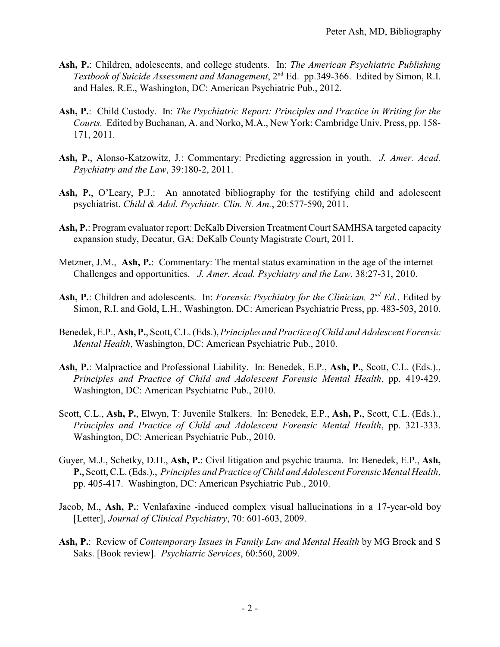- **Ash, P.**: Children, adolescents, and college students. In: *The American Psychiatric Publishing* Textbook of Suicide Assessment and Management, 2<sup>nd</sup> Ed. pp.349-366. Edited by Simon, R.I. and Hales, R.E., Washington, DC: American Psychiatric Pub., 2012.
- **Ash, P.**: Child Custody. In: *The Psychiatric Report: Principles and Practice in Writing for the Courts.* Edited by Buchanan, A. and Norko, M.A., New York: Cambridge Univ. Press, pp. 158-171, 2011.
- **Ash, P.**, Alonso-Katzowitz, J.: Commentary: Predicting aggression in youth. *J. Amer. Acad. Psychiatry and the Law*, 39:180-2, 2011.
- Ash, P., O'Leary, P.J.: An annotated bibliography for the testifying child and adolescent psychiatrist. *Child & Adol. Psychiatr. Clin. N. Am.*, 20:577-590, 2011.
- **Ash, P.**: Program evaluator report: DeKalb Diversion Treatment Court SAMHSA targeted capacity expansion study, Decatur, GA: DeKalb County Magistrate Court, 2011.
- Metzner, J.M., **Ash, P.**: Commentary: The mental status examination in the age of the internet Challenges and opportunities. *J. Amer. Acad. Psychiatry and the Law*, 38:27-31, 2010.
- Ash, P.: Children and adolescents. In: *Forensic Psychiatry for the Clinician*,  $2^{nd} Ed$ . Edited by Simon, R.I. and Gold, L.H., Washington, DC: American Psychiatric Press, pp. 483-503, 2010.
- Benedek, E.P., **Ash, P.**, Scott, C.L. (Eds.), *Principles and Practice of Child and Adolescent Forensic Mental Health*, Washington, DC: American Psychiatric Pub., 2010.
- **Ash, P.**: Malpractice and Professional Liability. In: Benedek, E.P., **Ash, P.**, Scott, C.L. (Eds.)., *Principles and Practice of Child and Adolescent Forensic Mental Health*, pp. 419-429. Washington, DC: American Psychiatric Pub., 2010.
- Scott, C.L., **Ash, P.**, Elwyn, T: Juvenile Stalkers. In: Benedek, E.P., **Ash, P.**, Scott, C.L. (Eds.)., *Principles and Practice of Child and Adolescent Forensic Mental Health*, pp. 321-333. Washington, DC: American Psychiatric Pub., 2010.
- Guyer, M.J., Schetky, D.H., **Ash, P.**: Civil litigation and psychic trauma. In: Benedek, E.P., **Ash, P.**, Scott, C.L. (Eds.)., *Principles and Practice of Child and Adolescent Forensic Mental Health*, pp. 405-417. Washington, DC: American Psychiatric Pub., 2010.
- Jacob, M., **Ash, P.**: Venlafaxine -induced complex visual hallucinations in a 17-year-old boy [Letter], *Journal of Clinical Psychiatry*, 70: 601-603, 2009.
- **Ash, P.**: Review of *Contemporary Issues in Family Law and Mental Health* by MG Brock and S Saks. [Book review]. *Psychiatric Services*, 60:560, 2009.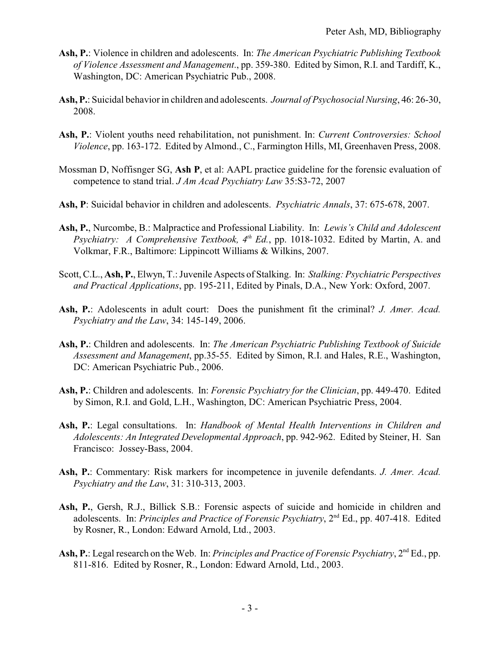- **Ash, P.**: Violence in children and adolescents. In: *The American Psychiatric Publishing Textbook of Violence Assessment and Management*., pp. 359-380. Edited by Simon, R.I. and Tardiff, K., Washington, DC: American Psychiatric Pub., 2008.
- **Ash, P.**: Suicidal behavior in children and adolescents. *Journal of Psychosocial Nursing*, 46: 26-30, 2008.
- **Ash, P.**: Violent youths need rehabilitation, not punishment. In: *Current Controversies: School Violence*, pp. 163-172. Edited by Almond., C., Farmington Hills, MI, Greenhaven Press, 2008.
- Mossman D, Noffisnger SG, **Ash P**, et al: AAPL practice guideline for the forensic evaluation of competence to stand trial. *J Am Acad Psychiatry Law* 35:S3-72, 2007
- **Ash, P**: Suicidal behavior in children and adolescents. *Psychiatric Annals*, 37: 675-678, 2007.
- **Ash, P.**, Nurcombe, B.: Malpractice and Professional Liability. In: *Lewis's Child and Adolescent* Psychiatry: A Comprehensive Textbook, 4<sup>th</sup> Ed., pp. 1018-1032. Edited by Martin, A. and Volkmar, F.R., Baltimore: Lippincott Williams & Wilkins, 2007.
- Scott, C.L., **Ash, P.**, Elwyn, T.: Juvenile Aspects of Stalking. In: *Stalking: Psychiatric Perspectives and Practical Applications*, pp. 195-211, Edited by Pinals, D.A., New York: Oxford, 2007.
- **Ash, P.**: Adolescents in adult court: Does the punishment fit the criminal? *J. Amer. Acad. Psychiatry and the Law*, 34: 145-149, 2006.
- **Ash, P.**: Children and adolescents. In: *The American Psychiatric Publishing Textbook of Suicide Assessment and Management*, pp.35-55. Edited by Simon, R.I. and Hales, R.E., Washington, DC: American Psychiatric Pub., 2006.
- **Ash, P.**: Children and adolescents. In: *Forensic Psychiatry for the Clinician*, pp. 449-470. Edited by Simon, R.I. and Gold, L.H., Washington, DC: American Psychiatric Press, 2004.
- **Ash, P.**: Legal consultations. In: *Handbook of Mental Health Interventions in Children and Adolescents: An Integrated Developmental Approach*, pp. 942-962. Edited by Steiner, H. San Francisco: Jossey-Bass, 2004.
- **Ash, P.**: Commentary: Risk markers for incompetence in juvenile defendants. *J. Amer. Acad. Psychiatry and the Law*, 31: 310-313, 2003.
- **Ash, P.**, Gersh, R.J., Billick S.B.: Forensic aspects of suicide and homicide in children and adolescents. In: *Principles and Practice of Forensic Psychiatry*, 2<sup>nd</sup> Ed., pp. 407-418. Edited by Rosner, R., London: Edward Arnold, Ltd., 2003.
- Ash, P.: Legal research on the Web. In: *Principles and Practice of Forensic Psychiatry*, 2<sup>nd</sup> Ed., pp. 811-816. Edited by Rosner, R., London: Edward Arnold, Ltd., 2003.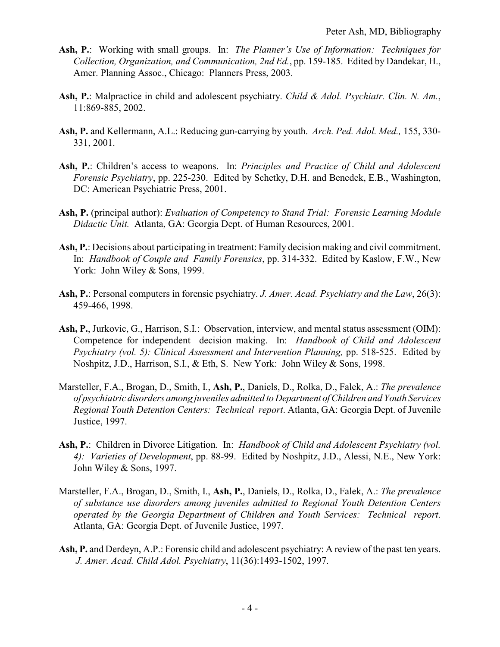- **Ash, P.**: Working with small groups. In: *The Planner's Use of Information: Techniques for Collection, Organization, and Communication, 2nd Ed.*, pp. 159-185. Edited by Dandekar, H., Amer. Planning Assoc., Chicago: Planners Press, 2003.
- **Ash, P.**: Malpractice in child and adolescent psychiatry. *Child & Adol. Psychiatr. Clin. N. Am.*, 11:869-885, 2002.
- **Ash, P.** and Kellermann, A.L.: Reducing gun-carrying by youth. *Arch. Ped. Adol. Med.,* 155, 330- 331, 2001.
- **Ash, P.**: Children's access to weapons. In: *Principles and Practice of Child and Adolescent Forensic Psychiatry*, pp. 225-230. Edited by Schetky, D.H. and Benedek, E.B., Washington, DC: American Psychiatric Press, 2001.
- **Ash, P.** (principal author): *Evaluation of Competency to Stand Trial: Forensic Learning Module Didactic Unit.* Atlanta, GA: Georgia Dept. of Human Resources, 2001.
- **Ash, P.**: Decisions about participating in treatment: Family decision making and civil commitment. In: *Handbook of Couple and Family Forensics*, pp. 314-332. Edited by Kaslow, F.W., New York: John Wiley & Sons, 1999.
- **Ash, P.**: Personal computers in forensic psychiatry. *J. Amer. Acad. Psychiatry and the Law*, 26(3): 459-466, 1998.
- **Ash, P.**, Jurkovic, G., Harrison, S.I.: Observation, interview, and mental status assessment (OIM): Competence for independent decision making. In: *Handbook of Child and Adolescent Psychiatry (vol. 5): Clinical Assessment and Intervention Planning,* pp. 518-525. Edited by Noshpitz, J.D., Harrison, S.I., & Eth, S. New York: John Wiley & Sons, 1998.
- Marsteller, F.A., Brogan, D., Smith, I., **Ash, P.**, Daniels, D., Rolka, D., Falek, A.: *The prevalence of psychiatric disorders among juveniles admitted to Department ofChildren and Youth Services Regional Youth Detention Centers: Technical report*. Atlanta, GA: Georgia Dept. of Juvenile Justice, 1997.
- **Ash, P.**: Children in Divorce Litigation. In: *Handbook of Child and Adolescent Psychiatry (vol. 4): Varieties of Development*, pp. 88-99. Edited by Noshpitz, J.D., Alessi, N.E., New York: John Wiley & Sons, 1997.
- Marsteller, F.A., Brogan, D., Smith, I., **Ash, P.**, Daniels, D., Rolka, D., Falek, A.: *The prevalence of substance use disorders among juveniles admitted to Regional Youth Detention Centers operated by the Georgia Department of Children and Youth Services: Technical report*. Atlanta, GA: Georgia Dept. of Juvenile Justice, 1997.
- **Ash, P.** and Derdeyn, A.P.: Forensic child and adolescent psychiatry: A review of the past ten years. *J. Amer. Acad. Child Adol. Psychiatry*, 11(36):1493-1502, 1997.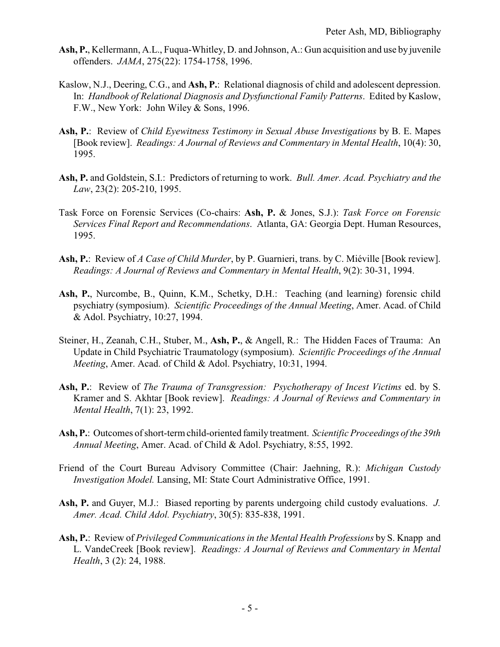- **Ash, P.**, Kellermann, A.L., Fuqua-Whitley, D. and Johnson, A.: Gun acquisition and use by juvenile offenders. *JAMA*, 275(22): 1754-1758, 1996.
- Kaslow, N.J., Deering, C.G., and **Ash, P.**: Relational diagnosis of child and adolescent depression. In: *Handbook of Relational Diagnosis and Dysfunctional Family Patterns*. Edited by Kaslow, F.W., New York: John Wiley & Sons, 1996.
- **Ash, P.**: Review of *Child Eyewitness Testimony in Sexual Abuse Investigations* by B. E. Mapes [Book review]. *Readings: A Journal of Reviews and Commentary in Mental Health*, 10(4): 30, 1995.
- **Ash, P.** and Goldstein, S.I.: Predictors of returning to work. *Bull. Amer. Acad. Psychiatry and the Law*, 23(2): 205-210, 1995.
- Task Force on Forensic Services (Co-chairs: **Ash, P.** & Jones, S.J.): *Task Force on Forensic Services Final Report and Recommendations*. Atlanta, GA: Georgia Dept. Human Resources, 1995.
- **Ash, P.**: Review of *A Case of Child Murder*, by P. Guarnieri, trans. by C. Miéville [Book review]. *Readings: A Journal of Reviews and Commentary in Mental Health*, 9(2): 30-31, 1994.
- **Ash, P.**, Nurcombe, B., Quinn, K.M., Schetky, D.H.: Teaching (and learning) forensic child psychiatry (symposium). *Scientific Proceedings of the Annual Meeting*, Amer. Acad. of Child & Adol. Psychiatry, 10:27, 1994.
- Steiner, H., Zeanah, C.H., Stuber, M., **Ash, P.**, & Angell, R.: The Hidden Faces of Trauma: An Update in Child Psychiatric Traumatology (symposium). *Scientific Proceedings of the Annual Meeting*, Amer. Acad. of Child & Adol. Psychiatry, 10:31, 1994.
- **Ash, P.**: Review of *The Trauma of Transgression: Psychotherapy of Incest Victims* ed. by S. Kramer and S. Akhtar [Book review]. *Readings: A Journal of Reviews and Commentary in Mental Health*, 7(1): 23, 1992.
- **Ash, P.**: Outcomes of short-term child-oriented family treatment. *Scientific Proceedings of the 39th Annual Meeting*, Amer. Acad. of Child & Adol. Psychiatry, 8:55, 1992.
- Friend of the Court Bureau Advisory Committee (Chair: Jaehning, R.): *Michigan Custody Investigation Model.* Lansing, MI: State Court Administrative Office, 1991.
- **Ash, P.** and Guyer, M.J.: Biased reporting by parents undergoing child custody evaluations. *J. Amer. Acad. Child Adol. Psychiatry*, 30(5): 835-838, 1991.
- **Ash, P.**: Review of *Privileged Communications in the Mental Health Professions* by S. Knapp and L. VandeCreek [Book review]. *Readings: A Journal of Reviews and Commentary in Mental Health*, 3 (2): 24, 1988.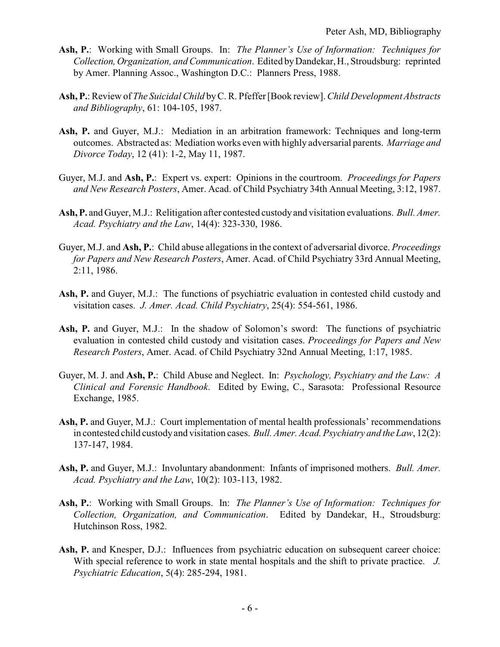- **Ash, P.**: Working with Small Groups. In: *The Planner's Use of Information: Techniques for Collection,Organization, and Communication*. Edited byDandekar, H., Stroudsburg: reprinted by Amer. Planning Assoc., Washington D.C.: Planners Press, 1988.
- **Ash, P.**: Review of *The Suicidal Child* byC. R. Pfeffer [Book review]. *Child Development Abstracts and Bibliography*, 61: 104-105, 1987.
- **Ash, P.** and Guyer, M.J.: Mediation in an arbitration framework: Techniques and long-term outcomes. Abstracted as: Mediation works even with highly adversarial parents. *Marriage and Divorce Today*, 12 (41): 1-2, May 11, 1987.
- Guyer, M.J. and **Ash, P.**: Expert vs. expert: Opinions in the courtroom. *Proceedings for Papers and New Research Posters*, Amer. Acad. of Child Psychiatry 34th Annual Meeting, 3:12, 1987.
- **Ash, P.** and Guyer, M.J.: Relitigation after contested custody and visitation evaluations. *Bull. Amer. Acad. Psychiatry and the Law*, 14(4): 323-330, 1986.
- Guyer, M.J. and **Ash, P.**: Child abuse allegations in the context of adversarial divorce. *Proceedings for Papers and New Research Posters*, Amer. Acad. of Child Psychiatry 33rd Annual Meeting, 2:11, 1986.
- **Ash, P.** and Guyer, M.J.: The functions of psychiatric evaluation in contested child custody and visitation cases. *J. Amer. Acad. Child Psychiatry*, 25(4): 554-561, 1986.
- **Ash, P.** and Guyer, M.J.: In the shadow of Solomon's sword: The functions of psychiatric evaluation in contested child custody and visitation cases. *Proceedings for Papers and New Research Posters*, Amer. Acad. of Child Psychiatry 32nd Annual Meeting, 1:17, 1985.
- Guyer, M. J. and **Ash, P.**: Child Abuse and Neglect. In: *Psychology, Psychiatry and the Law: A Clinical and Forensic Handbook*. Edited by Ewing, C., Sarasota: Professional Resource Exchange, 1985.
- Ash, P. and Guyer, M.J.: Court implementation of mental health professionals' recommendations in contested child custodyand visitation cases. *Bull. Amer. Acad. Psychiatry and the Law*, 12(2): 137-147, 1984.
- **Ash, P.** and Guyer, M.J.: Involuntary abandonment: Infants of imprisoned mothers. *Bull. Amer. Acad. Psychiatry and the Law*, 10(2): 103-113, 1982.
- **Ash, P.**: Working with Small Groups. In: *The Planner's Use of Information: Techniques for Collection, Organization, and Communication*. Edited by Dandekar, H., Stroudsburg: Hutchinson Ross, 1982.
- **Ash, P.** and Knesper, D.J.: Influences from psychiatric education on subsequent career choice: With special reference to work in state mental hospitals and the shift to private practice. *J. Psychiatric Education*, 5(4): 285-294, 1981.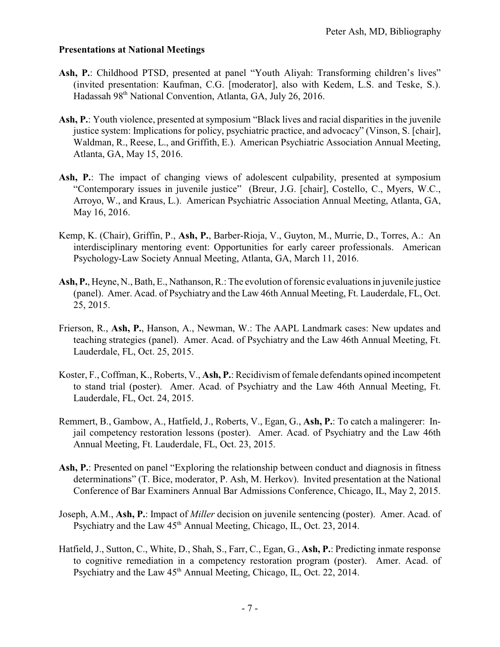#### **Presentations at National Meetings**

- Ash, P.: Childhood PTSD, presented at panel "Youth Aliyah: Transforming children's lives" (invited presentation: Kaufman, C.G. [moderator], also with Kedem, L.S. and Teske, S.). Hadassah 98<sup>th</sup> National Convention, Atlanta, GA, July 26, 2016.
- **Ash, P.**: Youth violence, presented at symposium "Black lives and racial disparities in the juvenile justice system: Implications for policy, psychiatric practice, and advocacy" (Vinson, S. [chair], Waldman, R., Reese, L., and Griffith, E.). American Psychiatric Association Annual Meeting, Atlanta, GA, May 15, 2016.
- Ash, P.: The impact of changing views of adolescent culpability, presented at symposium "Contemporary issues in juvenile justice" (Breur, J.G. [chair], Costello, C., Myers, W.C., Arroyo, W., and Kraus, L.). American Psychiatric Association Annual Meeting, Atlanta, GA, May 16, 2016.
- Kemp, K. (Chair), Griffin, P., **Ash, P.**, Barber-Rioja, V., Guyton, M., Murrie, D., Torres, A.: An interdisciplinary mentoring event: Opportunities for early career professionals. American Psychology-Law Society Annual Meeting, Atlanta, GA, March 11, 2016.
- **Ash, P.**, Heyne, N., Bath, E., Nathanson, R.: The evolution of forensic evaluations in juvenile justice (panel). Amer. Acad. of Psychiatry and the Law 46th Annual Meeting, Ft. Lauderdale, FL, Oct. 25, 2015.
- Frierson, R., **Ash, P.**, Hanson, A., Newman, W.: The AAPL Landmark cases: New updates and teaching strategies (panel). Amer. Acad. of Psychiatry and the Law 46th Annual Meeting, Ft. Lauderdale, FL, Oct. 25, 2015.
- Koster, F., Coffman, K., Roberts, V., **Ash, P.**: Recidivism of female defendants opined incompetent to stand trial (poster). Amer. Acad. of Psychiatry and the Law 46th Annual Meeting, Ft. Lauderdale, FL, Oct. 24, 2015.
- Remmert, B., Gambow, A., Hatfield, J., Roberts, V., Egan, G., **Ash, P.**: To catch a malingerer: Injail competency restoration lessons (poster). Amer. Acad. of Psychiatry and the Law 46th Annual Meeting, Ft. Lauderdale, FL, Oct. 23, 2015.
- Ash, P.: Presented on panel "Exploring the relationship between conduct and diagnosis in fitness determinations" (T. Bice, moderator, P. Ash, M. Herkov). Invited presentation at the National Conference of Bar Examiners Annual Bar Admissions Conference, Chicago, IL, May 2, 2015.
- Joseph, A.M., **Ash, P.**: Impact of *Miller* decision on juvenile sentencing (poster). Amer. Acad. of Psychiatry and the Law 45<sup>th</sup> Annual Meeting, Chicago, IL, Oct. 23, 2014.
- Hatfield, J., Sutton, C., White, D., Shah, S., Farr, C., Egan, G., **Ash, P.**: Predicting inmate response to cognitive remediation in a competency restoration program (poster). Amer. Acad. of Psychiatry and the Law 45<sup>th</sup> Annual Meeting, Chicago, IL, Oct. 22, 2014.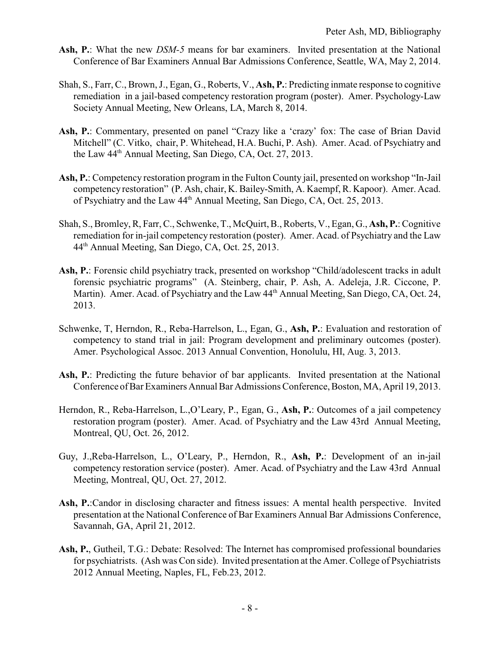- **Ash, P.**: What the new *DSM-5* means for bar examiners. Invited presentation at the National Conference of Bar Examiners Annual Bar Admissions Conference, Seattle, WA, May 2, 2014.
- Shah, S., Farr, C., Brown, J., Egan, G., Roberts, V., **Ash, P.**: Predicting inmate response to cognitive remediation in a jail-based competency restoration program (poster). Amer. Psychology-Law Society Annual Meeting, New Orleans, LA, March 8, 2014.
- Ash, P.: Commentary, presented on panel "Crazy like a 'crazy' fox: The case of Brian David Mitchell" (C. Vitko, chair, P. Whitehead, H.A. Buchi, P. Ash). Amer. Acad. of Psychiatry and the Law 44<sup>th</sup> Annual Meeting, San Diego, CA, Oct. 27, 2013.
- **Ash, P.**: Competency restoration program in the Fulton County jail, presented on workshop "In-Jail competency restoration" (P. Ash, chair, K. Bailey-Smith, A. Kaempf, R. Kapoor). Amer. Acad. of Psychiatry and the Law 44<sup>th</sup> Annual Meeting, San Diego, CA, Oct. 25, 2013.
- Shah, S., Bromley, R, Farr, C., Schwenke, T., McQuirt, B., Roberts, V., Egan, G., **Ash, P.**: Cognitive remediation for in-jail competency restoration (poster). Amer. Acad. of Psychiatry and the Law 44th Annual Meeting, San Diego, CA, Oct. 25, 2013.
- **Ash, P.**: Forensic child psychiatry track, presented on workshop "Child/adolescent tracks in adult forensic psychiatric programs" (A. Steinberg, chair, P. Ash, A. Adeleja, J.R. Ciccone, P. Martin). Amer. Acad. of Psychiatry and the Law  $44<sup>th</sup>$  Annual Meeting, San Diego, CA, Oct. 24, 2013.
- Schwenke, T, Herndon, R., Reba-Harrelson, L., Egan, G., **Ash, P.**: Evaluation and restoration of competency to stand trial in jail: Program development and preliminary outcomes (poster). Amer. Psychological Assoc. 2013 Annual Convention, Honolulu, HI, Aug. 3, 2013.
- **Ash, P.**: Predicting the future behavior of bar applicants. Invited presentation at the National Conference of Bar Examiners Annual Bar Admissions Conference, Boston, MA, April 19, 2013.
- Herndon, R., Reba-Harrelson, L.,O'Leary, P., Egan, G., **Ash, P.**: Outcomes of a jail competency restoration program (poster). Amer. Acad. of Psychiatry and the Law 43rd Annual Meeting, Montreal, QU, Oct. 26, 2012.
- Guy, J.,Reba-Harrelson, L., O'Leary, P., Herndon, R., **Ash, P.**: Development of an in-jail competency restoration service (poster). Amer. Acad. of Psychiatry and the Law 43rd Annual Meeting, Montreal, QU, Oct. 27, 2012.
- **Ash, P.**:Candor in disclosing character and fitness issues: A mental health perspective. Invited presentation at the National Conference of Bar Examiners Annual Bar Admissions Conference, Savannah, GA, April 21, 2012.
- **Ash, P.**, Gutheil, T.G.: Debate: Resolved: The Internet has compromised professional boundaries for psychiatrists. (Ash was Con side). Invited presentation at the Amer. College of Psychiatrists 2012 Annual Meeting, Naples, FL, Feb.23, 2012.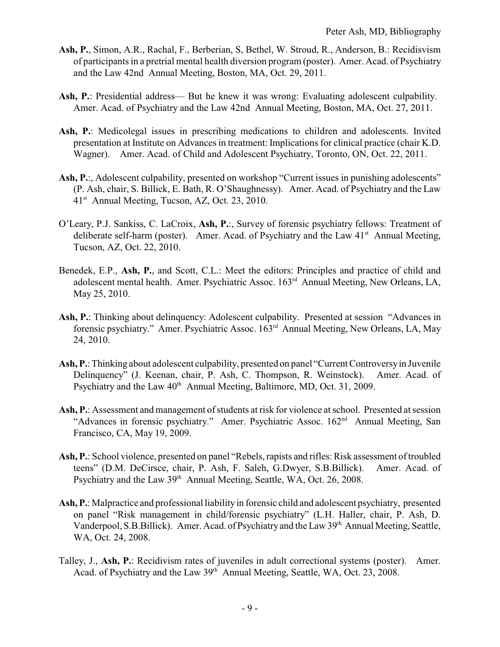- **Ash, P.**, Simon, A.R., Rachal, F., Berberian, S, Bethel, W. Stroud, R., Anderson, B.: Recidisvism of participants in a pretrial mental health diversion program (poster). Amer. Acad. of Psychiatry and the Law 42nd Annual Meeting, Boston, MA, Oct. 29, 2011.
- **Ash, P.**: Presidential address— But he knew it was wrong: Evaluating adolescent culpability. Amer. Acad. of Psychiatry and the Law 42nd Annual Meeting, Boston, MA, Oct. 27, 2011.
- Ash, P.: Medicolegal issues in prescribing medications to children and adolescents. Invited presentation at Institute on Advances in treatment: Implications for clinical practice (chair K.D. Wagner). Amer. Acad. of Child and Adolescent Psychiatry, Toronto, ON, Oct. 22, 2011.
- Ash, P.:, Adolescent culpability, presented on workshop "Current issues in punishing adolescents" (P. Ash, chair, S. Billick, E. Bath, R. O'Shaughnessy). Amer. Acad. of Psychiatry and the Law 41<sup>st</sup> Annual Meeting, Tucson, AZ, Oct. 23, 2010.
- O'Leary, P.J. Sankiss, C. LaCroix, **Ash, P.**:, Survey of forensic psychiatry fellows: Treatment of deliberate self-harm (poster). Amer. Acad. of Psychiatry and the Law  $41<sup>st</sup>$  Annual Meeting, Tucson, AZ, Oct. 22, 2010.
- Benedek, E.P., **Ash, P.**, and Scott, C.L.: Meet the editors: Principles and practice of child and adolescent mental health. Amer. Psychiatric Assoc. 163rd Annual Meeting, New Orleans, LA, May 25, 2010.
- **Ash, P.**: Thinking about delinquency: Adolescent culpability. Presented at session "Advances in forensic psychiatry." Amer. Psychiatric Assoc. 163<sup>rd</sup> Annual Meeting, New Orleans, LA, May 24, 2010.
- **Ash, P.**: Thinking about adolescent culpability, presented on panel "Current Controversyin Juvenile Delinquency" (J. Keenan, chair, P. Ash, C. Thompson, R. Weinstock). Amer. Acad. of Psychiatry and the Law 40<sup>th</sup> Annual Meeting, Baltimore, MD, Oct. 31, 2009.
- **Ash, P.**: Assessment and management of students at risk for violence at school. Presented at session "Advances in forensic psychiatry." Amer. Psychiatric Assoc. 162<sup>nd</sup> Annual Meeting, San Francisco, CA, May 19, 2009.
- **Ash, P.**: School violence, presented on panel "Rebels, rapists and rifles: Risk assessment of troubled teens" (D.M. DeCirsce, chair, P. Ash, F. Saleh, G.Dwyer, S.B.Billick). Amer. Acad. of Psychiatry and the Law 39<sup>th</sup> Annual Meeting, Seattle, WA, Oct. 26, 2008.
- **Ash, P.**: Malpractice and professional liability in forensic child and adolescent psychiatry, presented on panel "Risk management in child/forensic psychiatry" (L.H. Haller, chair, P. Ash, D. Vanderpool, S.B.Billick). Amer. Acad. of Psychiatry and the Law 39th Annual Meeting, Seattle, WA, Oct. 24, 2008.
- Talley, J., **Ash, P.**: Recidivism rates of juveniles in adult correctional systems (poster). Amer. Acad. of Psychiatry and the Law 39<sup>th</sup> Annual Meeting, Seattle, WA, Oct. 23, 2008.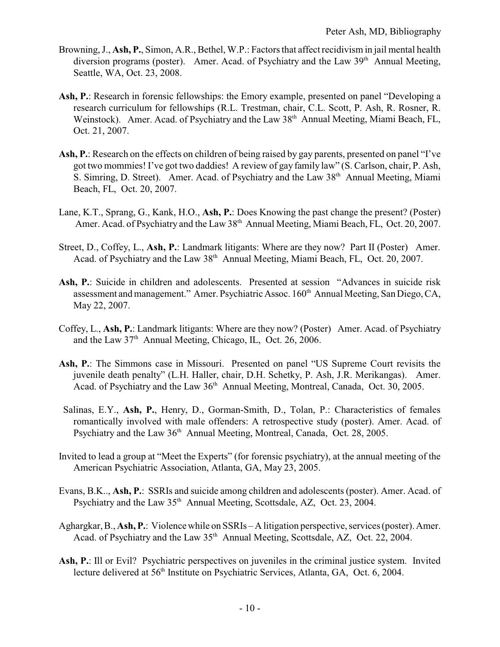- Browning, J., **Ash, P.**, Simon, A.R., Bethel, W.P.: Factors that affect recidivism in jail mental health diversion programs (poster). Amer. Acad. of Psychiatry and the Law  $39<sup>th</sup>$  Annual Meeting, Seattle, WA, Oct. 23, 2008.
- **Ash, P.**: Research in forensic fellowships: the Emory example, presented on panel "Developing a research curriculum for fellowships (R.L. Trestman, chair, C.L. Scott, P. Ash, R. Rosner, R. Weinstock). Amer. Acad. of Psychiatry and the Law 38<sup>th</sup> Annual Meeting, Miami Beach, FL, Oct. 21, 2007.
- **Ash, P.**: Research on the effects on children of being raised by gay parents, presented on panel "I've got two mommies! I've got two daddies! A review of gay family law" (S. Carlson, chair, P. Ash, S. Simring, D. Street). Amer. Acad. of Psychiatry and the Law 38<sup>th</sup> Annual Meeting, Miami Beach, FL, Oct. 20, 2007.
- Lane, K.T., Sprang, G., Kank, H.O., **Ash, P.**: Does Knowing the past change the present? (Poster) Amer. Acad. of Psychiatry and the Law 38<sup>th</sup> Annual Meeting, Miami Beach, FL, Oct. 20, 2007.
- Street, D., Coffey, L., **Ash, P.**: Landmark litigants: Where are they now? Part II (Poster) Amer. Acad. of Psychiatry and the Law 38<sup>th</sup> Annual Meeting, Miami Beach, FL, Oct. 20, 2007.
- **Ash, P.**: Suicide in children and adolescents. Presented at session "Advances in suicide risk assessment and management." Amer. Psychiatric Assoc. 160<sup>th</sup> Annual Meeting, San Diego, CA, May 22, 2007.
- Coffey, L., **Ash, P.**: Landmark litigants: Where are they now? (Poster) Amer. Acad. of Psychiatry and the Law 37<sup>th</sup> Annual Meeting, Chicago, IL, Oct. 26, 2006.
- **Ash, P.**: The Simmons case in Missouri. Presented on panel "US Supreme Court revisits the juvenile death penalty" (L.H. Haller, chair, D.H. Schetky, P. Ash, J.R. Merikangas). Amer. Acad. of Psychiatry and the Law 36<sup>th</sup> Annual Meeting, Montreal, Canada, Oct. 30, 2005.
- Salinas, E.Y., **Ash, P.**, Henry, D., Gorman-Smith, D., Tolan, P.: Characteristics of females romantically involved with male offenders: A retrospective study (poster). Amer. Acad. of Psychiatry and the Law 36<sup>th</sup> Annual Meeting, Montreal, Canada, Oct. 28, 2005.
- Invited to lead a group at "Meet the Experts" (for forensic psychiatry), at the annual meeting of the American Psychiatric Association, Atlanta, GA, May 23, 2005.
- Evans, B.K.., **Ash, P.**: SSRIs and suicide among children and adolescents (poster). Amer. Acad. of Psychiatry and the Law 35<sup>th</sup> Annual Meeting, Scottsdale, AZ, Oct. 23, 2004.
- Aghargkar, B., **Ash, P.**: Violence while on SSRIs A litigation perspective, services (poster). Amer. Acad. of Psychiatry and the Law 35<sup>th</sup> Annual Meeting, Scottsdale, AZ, Oct. 22, 2004.
- **Ash, P.**: Ill or Evil? Psychiatric perspectives on juveniles in the criminal justice system. Invited lecture delivered at 56<sup>th</sup> Institute on Psychiatric Services, Atlanta, GA, Oct. 6, 2004.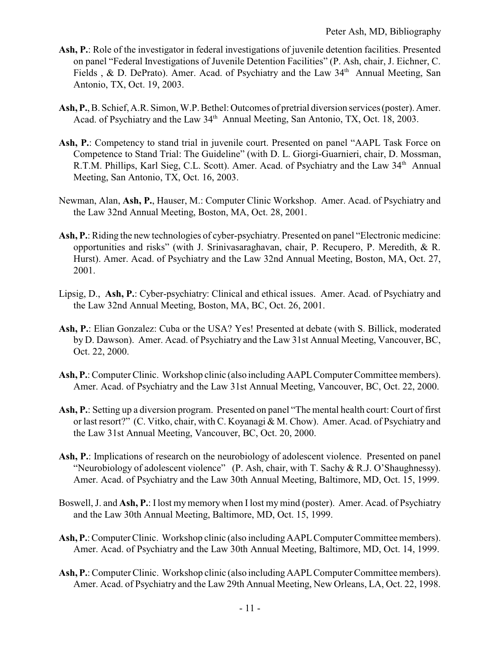- **Ash, P.**: Role of the investigator in federal investigations of juvenile detention facilities. Presented on panel "Federal Investigations of Juvenile Detention Facilities" (P. Ash, chair, J. Eichner, C. Fields , & D. DePrato). Amer. Acad. of Psychiatry and the Law 34<sup>th</sup> Annual Meeting, San Antonio, TX, Oct. 19, 2003.
- Ash, P., B. Schief, A.R. Simon, W.P. Bethel: Outcomes of pretrial diversion services (poster). Amer. Acad. of Psychiatry and the Law 34<sup>th</sup> Annual Meeting, San Antonio, TX, Oct. 18, 2003.
- Ash, P.: Competency to stand trial in juvenile court. Presented on panel "AAPL Task Force on Competence to Stand Trial: The Guideline" (with D. L. Giorgi-Guarnieri, chair, D. Mossman, R.T.M. Phillips, Karl Sieg, C.L. Scott). Amer. Acad. of Psychiatry and the Law 34<sup>th</sup> Annual Meeting, San Antonio, TX, Oct. 16, 2003.
- Newman, Alan, **Ash, P.**, Hauser, M.: Computer Clinic Workshop. Amer. Acad. of Psychiatry and the Law 32nd Annual Meeting, Boston, MA, Oct. 28, 2001.
- **Ash, P.**: Riding the new technologies of cyber-psychiatry. Presented on panel "Electronic medicine: opportunities and risks" (with J. Srinivasaraghavan, chair, P. Recupero, P. Meredith, & R. Hurst). Amer. Acad. of Psychiatry and the Law 32nd Annual Meeting, Boston, MA, Oct. 27, 2001.
- Lipsig, D., **Ash, P.**: Cyber-psychiatry: Clinical and ethical issues. Amer. Acad. of Psychiatry and the Law 32nd Annual Meeting, Boston, MA, BC, Oct. 26, 2001.
- **Ash, P.**: Elian Gonzalez: Cuba or the USA? Yes! Presented at debate (with S. Billick, moderated by D. Dawson). Amer. Acad. of Psychiatry and the Law 31st Annual Meeting, Vancouver, BC, Oct. 22, 2000.
- Ash, P.: Computer Clinic. Workshop clinic (also including AAPL Computer Committee members). Amer. Acad. of Psychiatry and the Law 31st Annual Meeting, Vancouver, BC, Oct. 22, 2000.
- **Ash, P.**: Setting up a diversion program. Presented on panel "The mental health court: Court of first or last resort?" (C. Vitko, chair, with C. Koyanagi & M. Chow). Amer. Acad. of Psychiatry and the Law 31st Annual Meeting, Vancouver, BC, Oct. 20, 2000.
- Ash, P.: Implications of research on the neurobiology of adolescent violence. Presented on panel "Neurobiology of adolescent violence" (P. Ash, chair, with T. Sachy & R.J. O'Shaughnessy). Amer. Acad. of Psychiatry and the Law 30th Annual Meeting, Baltimore, MD, Oct. 15, 1999.
- Boswell, J. and **Ash, P.**: Ilost my memory when I lost my mind (poster). Amer. Acad. of Psychiatry and the Law 30th Annual Meeting, Baltimore, MD, Oct. 15, 1999.
- Ash, P.: Computer Clinic. Workshop clinic (also including AAPL Computer Committee members). Amer. Acad. of Psychiatry and the Law 30th Annual Meeting, Baltimore, MD, Oct. 14, 1999.
- Ash, P.: Computer Clinic. Workshop clinic (also including AAPL Computer Committee members). Amer. Acad. of Psychiatry and the Law 29th Annual Meeting, New Orleans, LA, Oct. 22, 1998.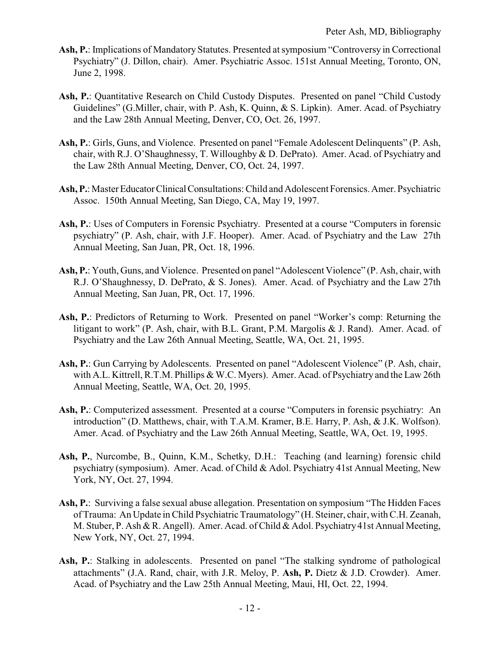- **Ash, P.**: Implications of Mandatory Statutes. Presented at symposium "Controversy in Correctional Psychiatry" (J. Dillon, chair). Amer. Psychiatric Assoc. 151st Annual Meeting, Toronto, ON, June 2, 1998.
- Ash, P.: Quantitative Research on Child Custody Disputes. Presented on panel "Child Custody" Guidelines" (G.Miller, chair, with P. Ash, K. Quinn, & S. Lipkin). Amer. Acad. of Psychiatry and the Law 28th Annual Meeting, Denver, CO, Oct. 26, 1997.
- **Ash, P.**: Girls, Guns, and Violence. Presented on panel "Female Adolescent Delinquents" (P. Ash, chair, with R.J. O'Shaughnessy, T. Willoughby & D. DePrato). Amer. Acad. of Psychiatry and the Law 28th Annual Meeting, Denver, CO, Oct. 24, 1997.
- Ash, P.: Master Educator Clinical Consultations: Child and Adolescent Forensics. Amer. Psychiatric Assoc. 150th Annual Meeting, San Diego, CA, May 19, 1997.
- **Ash, P.**: Uses of Computers in Forensic Psychiatry. Presented at a course "Computers in forensic psychiatry" (P. Ash, chair, with J.F. Hooper). Amer. Acad. of Psychiatry and the Law 27th Annual Meeting, San Juan, PR, Oct. 18, 1996.
- **Ash, P.**: Youth, Guns, and Violence. Presented on panel "Adolescent Violence" (P. Ash, chair, with R.J. O'Shaughnessy, D. DePrato, & S. Jones). Amer. Acad. of Psychiatry and the Law 27th Annual Meeting, San Juan, PR, Oct. 17, 1996.
- **Ash, P.**: Predictors of Returning to Work. Presented on panel "Worker's comp: Returning the litigant to work" (P. Ash, chair, with B.L. Grant, P.M. Margolis & J. Rand). Amer. Acad. of Psychiatry and the Law 26th Annual Meeting, Seattle, WA, Oct. 21, 1995.
- Ash, P.: Gun Carrying by Adolescents. Presented on panel "Adolescent Violence" (P. Ash, chair, with A.L. Kittrell, R.T.M. Phillips & W.C. Myers). Amer. Acad. of Psychiatry and the Law 26th Annual Meeting, Seattle, WA, Oct. 20, 1995.
- **Ash, P.**: Computerized assessment. Presented at a course "Computers in forensic psychiatry: An introduction" (D. Matthews, chair, with T.A.M. Kramer, B.E. Harry, P. Ash, & J.K. Wolfson). Amer. Acad. of Psychiatry and the Law 26th Annual Meeting, Seattle, WA, Oct. 19, 1995.
- **Ash, P.**, Nurcombe, B., Quinn, K.M., Schetky, D.H.: Teaching (and learning) forensic child psychiatry (symposium). Amer. Acad. of Child & Adol. Psychiatry 41st Annual Meeting, New York, NY, Oct. 27, 1994.
- **Ash, P.**: Surviving a false sexual abuse allegation. Presentation on symposium "The Hidden Faces of Trauma: An Update in Child Psychiatric Traumatology" (H. Steiner, chair, with C.H. Zeanah, M. Stuber, P. Ash & R. Angell). Amer. Acad. of Child & Adol. Psychiatry 41st Annual Meeting, New York, NY, Oct. 27, 1994.
- Ash, P.: Stalking in adolescents. Presented on panel "The stalking syndrome of pathological attachments" (J.A. Rand, chair, with J.R. Meloy, P. **Ash, P.** Dietz & J.D. Crowder). Amer. Acad. of Psychiatry and the Law 25th Annual Meeting, Maui, HI, Oct. 22, 1994.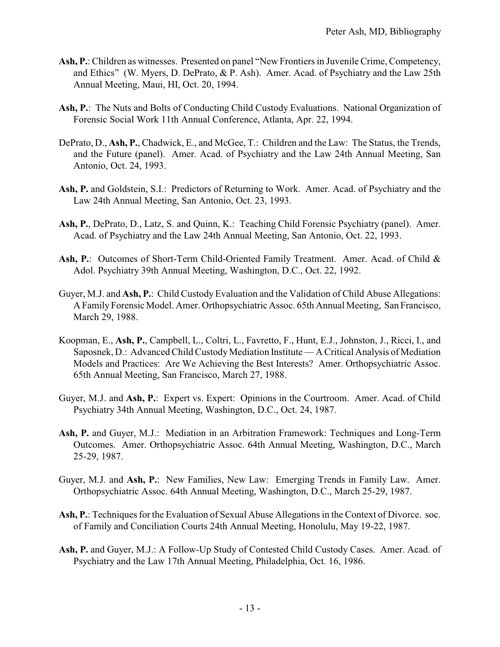- Ash, P.: Children as witnesses. Presented on panel "New Frontiers in Juvenile Crime, Competency, and Ethics" (W. Myers, D. DePrato, & P. Ash). Amer. Acad. of Psychiatry and the Law 25th Annual Meeting, Maui, HI, Oct. 20, 1994.
- **Ash, P.**: The Nuts and Bolts of Conducting Child Custody Evaluations. National Organization of Forensic Social Work 11th Annual Conference, Atlanta, Apr. 22, 1994.
- DePrato, D., **Ash, P.**, Chadwick, E., and McGee, T.: Children and the Law: The Status, the Trends, and the Future (panel). Amer. Acad. of Psychiatry and the Law 24th Annual Meeting, San Antonio, Oct. 24, 1993.
- **Ash, P.** and Goldstein, S.I.: Predictors of Returning to Work. Amer. Acad. of Psychiatry and the Law 24th Annual Meeting, San Antonio, Oct. 23, 1993.
- **Ash, P.**, DePrato, D., Latz, S. and Quinn, K.: Teaching Child Forensic Psychiatry (panel). Amer. Acad. of Psychiatry and the Law 24th Annual Meeting, San Antonio, Oct. 22, 1993.
- Ash, P.: Outcomes of Short-Term Child-Oriented Family Treatment. Amer. Acad. of Child & Adol. Psychiatry 39th Annual Meeting, Washington, D.C., Oct. 22, 1992.
- Guyer, M.J. and **Ash, P.**: Child Custody Evaluation and the Validation of Child Abuse Allegations: A Family Forensic Model. Amer. Orthopsychiatric Assoc. 65th Annual Meeting, San Francisco, March 29, 1988.
- Koopman, E., **Ash, P.**, Campbell, L., Coltri, L., Favretto, F., Hunt, E.J., Johnston, J., Ricci, I., and Saposnek, D.: Advanced Child Custody Mediation Institute — A Critical Analysis of Mediation Models and Practices: Are We Achieving the Best Interests? Amer. Orthopsychiatric Assoc. 65th Annual Meeting, San Francisco, March 27, 1988.
- Guyer, M.J. and **Ash, P.**: Expert vs. Expert: Opinions in the Courtroom. Amer. Acad. of Child Psychiatry 34th Annual Meeting, Washington, D.C., Oct. 24, 1987.
- **Ash, P.** and Guyer, M.J.: Mediation in an Arbitration Framework: Techniques and Long-Term Outcomes. Amer. Orthopsychiatric Assoc. 64th Annual Meeting, Washington, D.C., March 25-29, 1987.
- Guyer, M.J. and **Ash, P.**: New Families, New Law: Emerging Trends in Family Law. Amer. Orthopsychiatric Assoc. 64th Annual Meeting, Washington, D.C., March 25-29, 1987.
- **Ash, P.**: Techniques for the Evaluation of Sexual Abuse Allegations in the Context of Divorce. soc. of Family and Conciliation Courts 24th Annual Meeting, Honolulu, May 19-22, 1987.
- **Ash, P.** and Guyer, M.J.: A Follow-Up Study of Contested Child Custody Cases. Amer. Acad. of Psychiatry and the Law 17th Annual Meeting, Philadelphia, Oct. 16, 1986.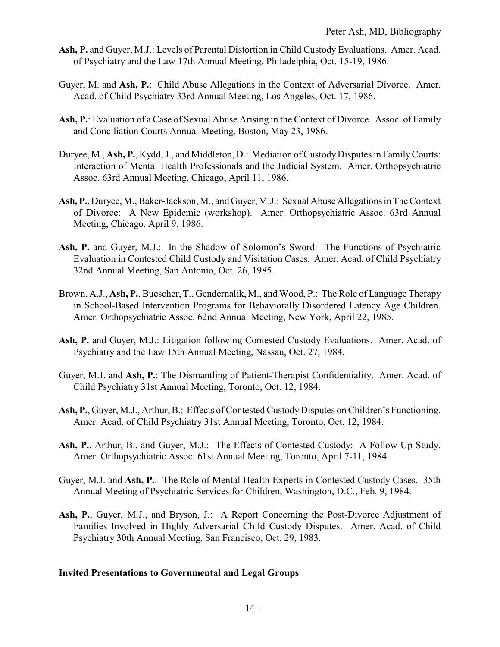- **Ash, P.** and Guyer, M.J.: Levels of Parental Distortion in Child Custody Evaluations. Amer. Acad. of Psychiatry and the Law 17th Annual Meeting, Philadelphia, Oct. 15-19, 1986.
- Guyer, M. and **Ash, P.**: Child Abuse Allegations in the Context of Adversarial Divorce. Amer. Acad. of Child Psychiatry 33rd Annual Meeting, Los Angeles, Oct. 17, 1986.
- **Ash, P.**: Evaluation of a Case of Sexual Abuse Arising in the Context of Divorce. Assoc. of Family and Conciliation Courts Annual Meeting, Boston, May 23, 1986.
- Duryee, M., **Ash, P.**, Kydd, J., and Middleton, D.: Mediation of Custody Disputes in FamilyCourts: Interaction of Mental Health Professionals and the Judicial System. Amer. Orthopsychiatric Assoc. 63rd Annual Meeting, Chicago, April 11, 1986.
- **Ash, P.**, Duryee, M., Baker-Jackson, M., and Guyer, M.J.: Sexual Abuse Allegations in The Context of Divorce: A New Epidemic (workshop). Amer. Orthopsychiatric Assoc. 63rd Annual Meeting, Chicago, April 9, 1986.
- Ash, P. and Guyer, M.J.: In the Shadow of Solomon's Sword: The Functions of Psychiatric Evaluation in Contested Child Custody and Visitation Cases. Amer. Acad. of Child Psychiatry 32nd Annual Meeting, San Antonio, Oct. 26, 1985.
- Brown, A.J., **Ash, P.**, Buescher, T., Gendernalik, M., and Wood, P.: The Role of Language Therapy in School-Based Intervention Programs for Behaviorally Disordered Latency Age Children. Amer. Orthopsychiatric Assoc. 62nd Annual Meeting, New York, April 22, 1985.
- **Ash, P.** and Guyer, M.J.: Litigation following Contested Custody Evaluations. Amer. Acad. of Psychiatry and the Law 15th Annual Meeting, Nassau, Oct. 27, 1984.
- Guyer, M.J. and **Ash, P.**: The Dismantling of Patient-Therapist Confidentiality. Amer. Acad. of Child Psychiatry 31st Annual Meeting, Toronto, Oct. 12, 1984.
- Ash, P., Guyer, M.J., Arthur, B.: Effects of Contested Custody Disputes on Children's Functioning. Amer. Acad. of Child Psychiatry 31st Annual Meeting, Toronto, Oct. 12, 1984.
- **Ash, P.**, Arthur, B., and Guyer, M.J.: The Effects of Contested Custody: A Follow-Up Study. Amer. Orthopsychiatric Assoc. 61st Annual Meeting, Toronto, April 7-11, 1984.
- Guyer, M.J. and **Ash, P.**: The Role of Mental Health Experts in Contested Custody Cases. 35th Annual Meeting of Psychiatric Services for Children, Washington, D.C., Feb. 9, 1984.
- **Ash, P.**, Guyer, M.J., and Bryson, J.: A Report Concerning the Post-Divorce Adjustment of Families Involved in Highly Adversarial Child Custody Disputes. Amer. Acad. of Child Psychiatry 30th Annual Meeting, San Francisco, Oct. 29, 1983.

### **Invited Presentations to Governmental and Legal Groups**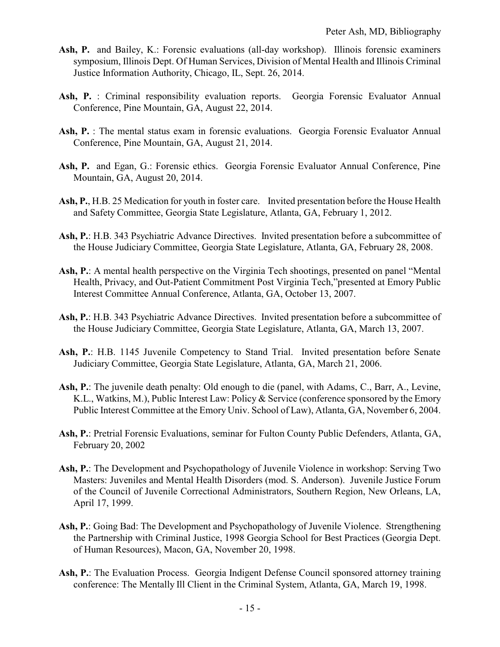- Ash, P. and Bailey, K.: Forensic evaluations (all-day workshop). Illinois forensic examiners symposium, Illinois Dept. Of Human Services, Division of Mental Health and Illinois Criminal Justice Information Authority, Chicago, IL, Sept. 26, 2014.
- **Ash, P.** : Criminal responsibility evaluation reports. Georgia Forensic Evaluator Annual Conference, Pine Mountain, GA, August 22, 2014.
- Ash, P. : The mental status exam in forensic evaluations. Georgia Forensic Evaluator Annual Conference, Pine Mountain, GA, August 21, 2014.
- **Ash, P.** and Egan, G.: Forensic ethics. Georgia Forensic Evaluator Annual Conference, Pine Mountain, GA, August 20, 2014.
- **Ash, P.**, H.B. 25 Medication for youth in foster care. Invited presentation before the House Health and Safety Committee, Georgia State Legislature, Atlanta, GA, February 1, 2012.
- **Ash, P.**: H.B. 343 Psychiatric Advance Directives. Invited presentation before a subcommittee of the House Judiciary Committee, Georgia State Legislature, Atlanta, GA, February 28, 2008.
- **Ash, P.**: A mental health perspective on the Virginia Tech shootings, presented on panel "Mental Health, Privacy, and Out-Patient Commitment Post Virginia Tech,"presented at Emory Public Interest Committee Annual Conference, Atlanta, GA, October 13, 2007.
- **Ash, P.**: H.B. 343 Psychiatric Advance Directives. Invited presentation before a subcommittee of the House Judiciary Committee, Georgia State Legislature, Atlanta, GA, March 13, 2007.
- **Ash, P.**: H.B. 1145 Juvenile Competency to Stand Trial. Invited presentation before Senate Judiciary Committee, Georgia State Legislature, Atlanta, GA, March 21, 2006.
- **Ash, P.**: The juvenile death penalty: Old enough to die (panel, with Adams, C., Barr, A., Levine, K.L., Watkins, M.), Public Interest Law: Policy & Service (conference sponsored by the Emory Public Interest Committee at the Emory Univ. School of Law), Atlanta, GA, November 6, 2004.
- **Ash, P.**: Pretrial Forensic Evaluations, seminar for Fulton County Public Defenders, Atlanta, GA, February 20, 2002
- **Ash, P.**: The Development and Psychopathology of Juvenile Violence in workshop: Serving Two Masters: Juveniles and Mental Health Disorders (mod. S. Anderson). Juvenile Justice Forum of the Council of Juvenile Correctional Administrators, Southern Region, New Orleans, LA, April 17, 1999.
- **Ash, P.**: Going Bad: The Development and Psychopathology of Juvenile Violence. Strengthening the Partnership with Criminal Justice, 1998 Georgia School for Best Practices (Georgia Dept. of Human Resources), Macon, GA, November 20, 1998.
- Ash, P.: The Evaluation Process. Georgia Indigent Defense Council sponsored attorney training conference: The Mentally Ill Client in the Criminal System, Atlanta, GA, March 19, 1998.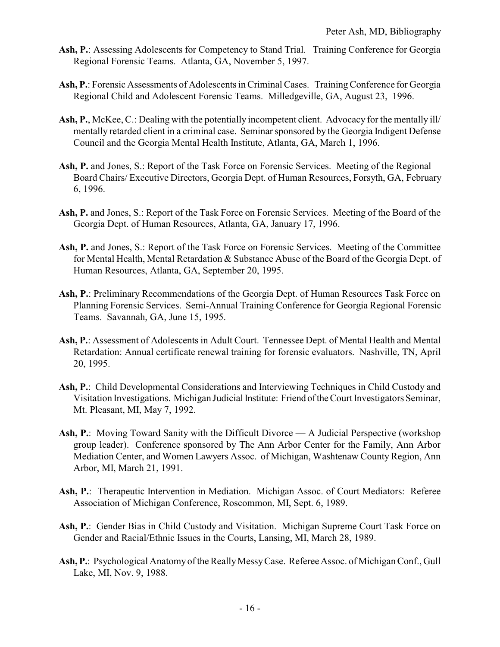- **Ash, P.**: Assessing Adolescents for Competency to Stand Trial. Training Conference for Georgia Regional Forensic Teams. Atlanta, GA, November 5, 1997.
- Ash, P.: Forensic Assessments of Adolescents in Criminal Cases. Training Conference for Georgia Regional Child and Adolescent Forensic Teams. Milledgeville, GA, August 23, 1996.
- **Ash, P.**, McKee, C.: Dealing with the potentially incompetent client. Advocacy for the mentally ill/ mentally retarded client in a criminal case. Seminar sponsored by the Georgia Indigent Defense Council and the Georgia Mental Health Institute, Atlanta, GA, March 1, 1996.
- **Ash, P.** and Jones, S.: Report of the Task Force on Forensic Services. Meeting of the Regional Board Chairs/ Executive Directors, Georgia Dept. of Human Resources, Forsyth, GA, February 6, 1996.
- **Ash, P.** and Jones, S.: Report of the Task Force on Forensic Services. Meeting of the Board of the Georgia Dept. of Human Resources, Atlanta, GA, January 17, 1996.
- **Ash, P.** and Jones, S.: Report of the Task Force on Forensic Services. Meeting of the Committee for Mental Health, Mental Retardation & Substance Abuse of the Board of the Georgia Dept. of Human Resources, Atlanta, GA, September 20, 1995.
- **Ash, P.**: Preliminary Recommendations of the Georgia Dept. of Human Resources Task Force on Planning Forensic Services. Semi-Annual Training Conference for Georgia Regional Forensic Teams. Savannah, GA, June 15, 1995.
- **Ash, P.**: Assessment of Adolescents in Adult Court. Tennessee Dept. of Mental Health and Mental Retardation: Annual certificate renewal training for forensic evaluators. Nashville, TN, April 20, 1995.
- **Ash, P.**: Child Developmental Considerations and Interviewing Techniques in Child Custody and Visitation Investigations. Michigan Judicial Institute: Friend ofthe Court Investigators Seminar, Mt. Pleasant, MI, May 7, 1992.
- Ash, P.: Moving Toward Sanity with the Difficult Divorce A Judicial Perspective (workshop group leader). Conference sponsored by The Ann Arbor Center for the Family, Ann Arbor Mediation Center, and Women Lawyers Assoc. of Michigan, Washtenaw County Region, Ann Arbor, MI, March 21, 1991.
- **Ash, P.**: Therapeutic Intervention in Mediation. Michigan Assoc. of Court Mediators: Referee Association of Michigan Conference, Roscommon, MI, Sept. 6, 1989.
- Ash, P.: Gender Bias in Child Custody and Visitation. Michigan Supreme Court Task Force on Gender and Racial/Ethnic Issues in the Courts, Lansing, MI, March 28, 1989.
- Ash, P.: Psychological Anatomy of the Really Messy Case. Referee Assoc. of Michigan Conf., Gull Lake, MI, Nov. 9, 1988.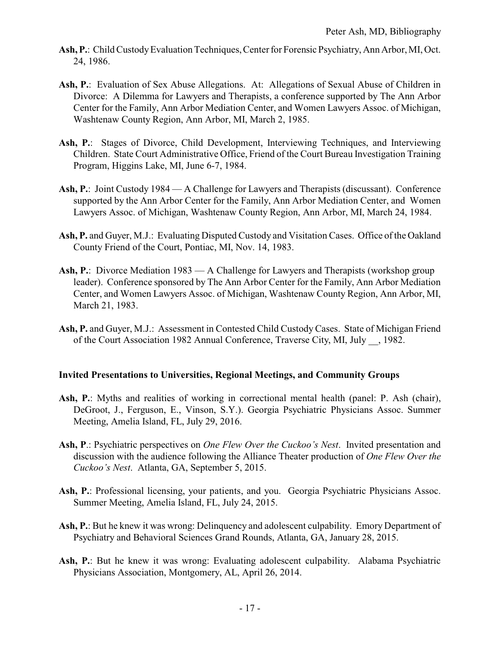- Ash, P.: Child Custody Evaluation Techniques, Center for Forensic Psychiatry, Ann Arbor, MI, Oct. 24, 1986.
- Ash, P.: Evaluation of Sex Abuse Allegations. At: Allegations of Sexual Abuse of Children in Divorce: A Dilemma for Lawyers and Therapists, a conference supported by The Ann Arbor Center for the Family, Ann Arbor Mediation Center, and Women Lawyers Assoc. of Michigan, Washtenaw County Region, Ann Arbor, MI, March 2, 1985.
- Ash, P.: Stages of Divorce, Child Development, Interviewing Techniques, and Interviewing Children. State Court Administrative Office, Friend of the Court Bureau Investigation Training Program, Higgins Lake, MI, June 6-7, 1984.
- **Ash, P.**: Joint Custody 1984 A Challenge for Lawyers and Therapists (discussant). Conference supported by the Ann Arbor Center for the Family, Ann Arbor Mediation Center, and Women Lawyers Assoc. of Michigan, Washtenaw County Region, Ann Arbor, MI, March 24, 1984.
- **Ash, P.** and Guyer, M.J.: Evaluating Disputed Custody and Visitation Cases. Office of the Oakland County Friend of the Court, Pontiac, MI, Nov. 14, 1983.
- Ash, P.: Divorce Mediation 1983 A Challenge for Lawyers and Therapists (workshop group leader). Conference sponsored by The Ann Arbor Center for the Family, Ann Arbor Mediation Center, and Women Lawyers Assoc. of Michigan, Washtenaw County Region, Ann Arbor, MI, March 21, 1983.
- **Ash, P.** and Guyer, M.J.: Assessment in Contested Child Custody Cases. State of Michigan Friend of the Court Association 1982 Annual Conference, Traverse City, MI, July \_\_, 1982.

### **Invited Presentations to Universities, Regional Meetings, and Community Groups**

- **Ash, P.**: Myths and realities of working in correctional mental health (panel: P. Ash (chair), DeGroot, J., Ferguson, E., Vinson, S.Y.). Georgia Psychiatric Physicians Assoc. Summer Meeting, Amelia Island, FL, July 29, 2016.
- **Ash, P**.: Psychiatric perspectives on *One Flew Over the Cuckoo's Nest*. Invited presentation and discussion with the audience following the Alliance Theater production of *One Flew Over the Cuckoo's Nest*. Atlanta, GA, September 5, 2015.
- Ash, P.: Professional licensing, your patients, and you. Georgia Psychiatric Physicians Assoc. Summer Meeting, Amelia Island, FL, July 24, 2015.
- **Ash, P.**: But he knew it was wrong: Delinquency and adolescent culpability. Emory Department of Psychiatry and Behavioral Sciences Grand Rounds, Atlanta, GA, January 28, 2015.
- Ash, P.: But he knew it was wrong: Evaluating adolescent culpability. Alabama Psychiatric Physicians Association, Montgomery, AL, April 26, 2014.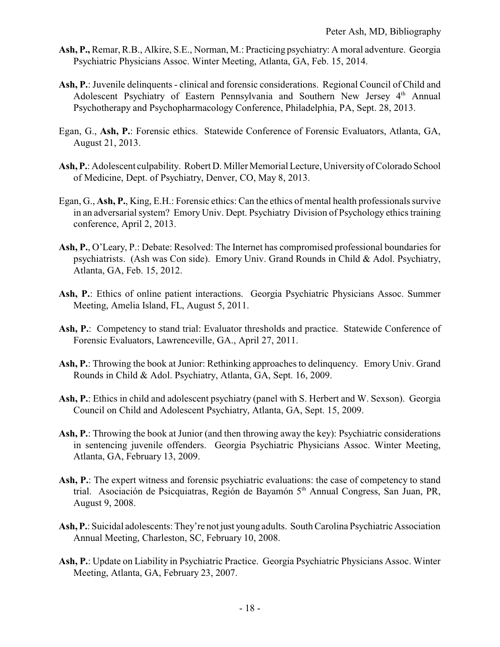- **Ash, P.,** Remar, R.B., Alkire, S.E., Norman, M.: Practicing psychiatry: A moral adventure. Georgia Psychiatric Physicians Assoc. Winter Meeting, Atlanta, GA, Feb. 15, 2014.
- **Ash, P.**: Juvenile delinquents clinical and forensic considerations. Regional Council of Child and Adolescent Psychiatry of Eastern Pennsylvania and Southern New Jersey 4<sup>th</sup> Annual Psychotherapy and Psychopharmacology Conference, Philadelphia, PA, Sept. 28, 2013.
- Egan, G., **Ash, P.**: Forensic ethics. Statewide Conference of Forensic Evaluators, Atlanta, GA, August 21, 2013.
- **Ash, P.**: Adolescent culpability. Robert D. Miller Memorial Lecture, University of Colorado School of Medicine, Dept. of Psychiatry, Denver, CO, May 8, 2013.
- Egan, G., **Ash, P.**, King, E.H.: Forensic ethics: Can the ethics of mental health professionals survive in an adversarial system? Emory Univ. Dept. Psychiatry Division of Psychology ethics training conference, April 2, 2013.
- **Ash, P.**, O'Leary, P.: Debate: Resolved: The Internet has compromised professional boundaries for psychiatrists. (Ash was Con side). Emory Univ. Grand Rounds in Child & Adol. Psychiatry, Atlanta, GA, Feb. 15, 2012.
- **Ash, P.**: Ethics of online patient interactions. Georgia Psychiatric Physicians Assoc. Summer Meeting, Amelia Island, FL, August 5, 2011.
- Ash, P.: Competency to stand trial: Evaluator thresholds and practice. Statewide Conference of Forensic Evaluators, Lawrenceville, GA., April 27, 2011.
- **Ash, P.**: Throwing the book at Junior: Rethinking approaches to delinquency. Emory Univ. Grand Rounds in Child & Adol. Psychiatry, Atlanta, GA, Sept. 16, 2009.
- **Ash, P.**: Ethics in child and adolescent psychiatry (panel with S. Herbert and W. Sexson). Georgia Council on Child and Adolescent Psychiatry, Atlanta, GA, Sept. 15, 2009.
- **Ash, P.**: Throwing the book at Junior (and then throwing away the key): Psychiatric considerations in sentencing juvenile offenders. Georgia Psychiatric Physicians Assoc. Winter Meeting, Atlanta, GA, February 13, 2009.
- Ash, P.: The expert witness and forensic psychiatric evaluations: the case of competency to stand trial. Asociación de Psicquiatras, Región de Bayamón 5<sup>th</sup> Annual Congress, San Juan, PR, August 9, 2008.
- **Ash, P.**: Suicidal adolescents: They're not just young adults. South Carolina Psychiatric Association Annual Meeting, Charleston, SC, February 10, 2008.
- **Ash, P.**: Update on Liability in Psychiatric Practice. Georgia Psychiatric Physicians Assoc. Winter Meeting, Atlanta, GA, February 23, 2007.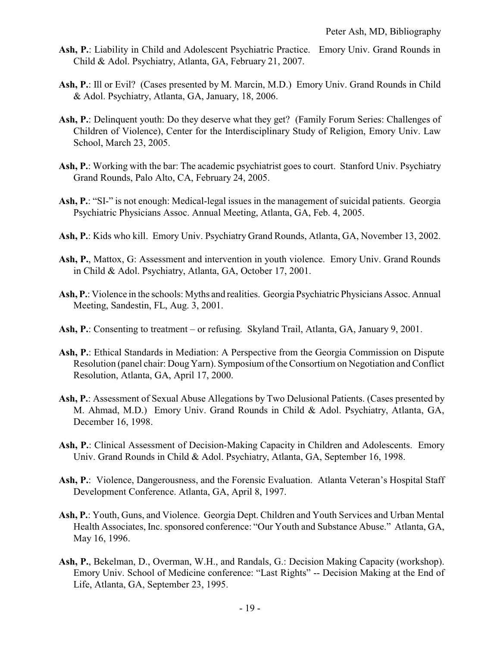- **Ash, P.**: Liability in Child and Adolescent Psychiatric Practice. Emory Univ. Grand Rounds in Child & Adol. Psychiatry, Atlanta, GA, February 21, 2007.
- **Ash, P.**: Ill or Evil? (Cases presented by M. Marcin, M.D.) Emory Univ. Grand Rounds in Child & Adol. Psychiatry, Atlanta, GA, January, 18, 2006.
- Ash, P.: Delinquent youth: Do they deserve what they get? (Family Forum Series: Challenges of Children of Violence), Center for the Interdisciplinary Study of Religion, Emory Univ. Law School, March 23, 2005.
- **Ash, P.**: Working with the bar: The academic psychiatrist goes to court. Stanford Univ. Psychiatry Grand Rounds, Palo Alto, CA, February 24, 2005.
- Ash, P.: "SI-" is not enough: Medical-legal issues in the management of suicidal patients. Georgia Psychiatric Physicians Assoc. Annual Meeting, Atlanta, GA, Feb. 4, 2005.
- **Ash, P.**: Kids who kill. Emory Univ. Psychiatry Grand Rounds, Atlanta, GA, November 13, 2002.
- **Ash, P.**, Mattox, G: Assessment and intervention in youth violence. Emory Univ. Grand Rounds in Child & Adol. Psychiatry, Atlanta, GA, October 17, 2001.
- **Ash, P.**: Violence in the schools: Myths and realities. Georgia Psychiatric Physicians Assoc. Annual Meeting, Sandestin, FL, Aug. 3, 2001.
- **Ash, P.**: Consenting to treatment or refusing. Skyland Trail, Atlanta, GA, January 9, 2001.
- **Ash, P.**: Ethical Standards in Mediation: A Perspective from the Georgia Commission on Dispute Resolution (panel chair: Doug Yarn). Symposium of the Consortium on Negotiation and Conflict Resolution, Atlanta, GA, April 17, 2000.
- Ash, P.: Assessment of Sexual Abuse Allegations by Two Delusional Patients. (Cases presented by M. Ahmad, M.D.) Emory Univ. Grand Rounds in Child & Adol. Psychiatry, Atlanta, GA, December 16, 1998.
- **Ash, P.**: Clinical Assessment of Decision-Making Capacity in Children and Adolescents. Emory Univ. Grand Rounds in Child & Adol. Psychiatry, Atlanta, GA, September 16, 1998.
- **Ash, P.**: Violence, Dangerousness, and the Forensic Evaluation. Atlanta Veteran's Hospital Staff Development Conference. Atlanta, GA, April 8, 1997.
- **Ash, P.**: Youth, Guns, and Violence. Georgia Dept. Children and Youth Services and Urban Mental Health Associates, Inc. sponsored conference: "Our Youth and Substance Abuse." Atlanta, GA, May 16, 1996.
- **Ash, P.**, Bekelman, D., Overman, W.H., and Randals, G.: Decision Making Capacity (workshop). Emory Univ. School of Medicine conference: "Last Rights" -- Decision Making at the End of Life, Atlanta, GA, September 23, 1995.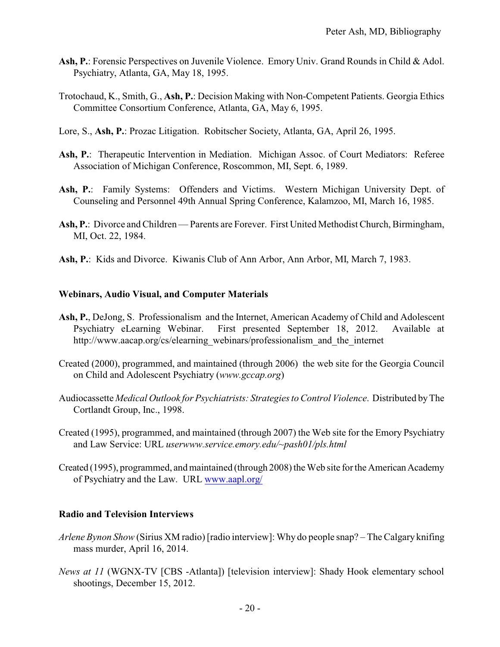- Ash, P.: Forensic Perspectives on Juvenile Violence. Emory Univ. Grand Rounds in Child & Adol. Psychiatry, Atlanta, GA, May 18, 1995.
- Trotochaud, K., Smith, G., **Ash, P.**: Decision Making with Non-Competent Patients. Georgia Ethics Committee Consortium Conference, Atlanta, GA, May 6, 1995.
- Lore, S., **Ash, P.**: Prozac Litigation. Robitscher Society, Atlanta, GA, April 26, 1995.
- **Ash, P.**: Therapeutic Intervention in Mediation. Michigan Assoc. of Court Mediators: Referee Association of Michigan Conference, Roscommon, MI, Sept. 6, 1989.
- **Ash, P.**: Family Systems: Offenders and Victims. Western Michigan University Dept. of Counseling and Personnel 49th Annual Spring Conference, Kalamzoo, MI, March 16, 1985.
- **Ash, P.**: Divorce and Children Parents are Forever. First United Methodist Church, Birmingham, MI, Oct. 22, 1984.
- **Ash, P.**: Kids and Divorce. Kiwanis Club of Ann Arbor, Ann Arbor, MI, March 7, 1983.

### **Webinars, Audio Visual, and Computer Materials**

- **Ash, P.**, DeJong, S. Professionalism and the Internet, American Academy of Child and Adolescent Psychiatry eLearning Webinar. First presented September 18, 2012. Available at http://www.aacap.org/cs/elearning\_webinars/professionalism\_and\_the\_internet
- Created (2000), programmed, and maintained (through 2006) the web site for the Georgia Council on Child and Adolescent Psychiatry (*www.gccap.org*)
- Audiocassette *Medical Outlook for Psychiatrists: Strategies to Control Violence*. Distributed byThe Cortlandt Group, Inc., 1998.
- Created (1995), programmed, and maintained (through 2007) the Web site for the Emory Psychiatry and Law Service: URL *userwww.service.emory.edu/~pash01/pls.html*
- Created (1995), programmed, and maintained (through 2008) the Web site for the American Academy of Psychiatry and the Law. URL [www.aapl.org/](http://www.aapl.org/)

### **Radio and Television Interviews**

- *Arlene Bynon Show* (Sirius XM radio) [radio interview]: Why do people snap? The Calgary knifing mass murder, April 16, 2014.
- *News at 11* (WGNX-TV [CBS -Atlanta]) [television interview]: Shady Hook elementary school shootings, December 15, 2012.